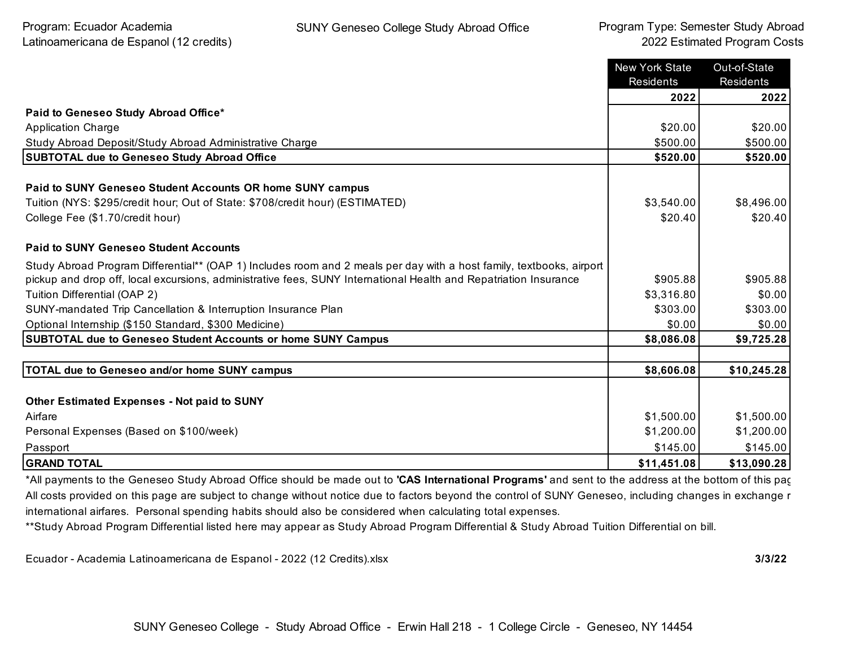|                                                                                                                      | <b>New York State</b><br>Residents | Out-of-State<br>Residents |
|----------------------------------------------------------------------------------------------------------------------|------------------------------------|---------------------------|
|                                                                                                                      | 2022                               | 2022                      |
| Paid to Geneseo Study Abroad Office*                                                                                 |                                    |                           |
| <b>Application Charge</b>                                                                                            | \$20.00                            | \$20.00                   |
| Study Abroad Deposit/Study Abroad Administrative Charge                                                              | \$500.00                           | \$500.00                  |
| <b>SUBTOTAL due to Geneseo Study Abroad Office</b>                                                                   | \$520.00                           | \$520.00                  |
| Paid to SUNY Geneseo Student Accounts OR home SUNY campus                                                            |                                    |                           |
| Tuition (NYS: \$295/credit hour; Out of State: \$708/credit hour) (ESTIMATED)                                        | \$3,540.00                         | \$8,496.00                |
| College Fee (\$1.70/credit hour)                                                                                     | \$20.40                            | \$20.40                   |
| <b>Paid to SUNY Geneseo Student Accounts</b>                                                                         |                                    |                           |
| Study Abroad Program Differential** (OAP 1) Includes room and 2 meals per day with a host family, textbooks, airport |                                    |                           |
| pickup and drop off, local excursions, administrative fees, SUNY International Health and Repatriation Insurance     | \$905.88                           | \$905.88                  |
| Tuition Differential (OAP 2)                                                                                         | \$3,316.80                         | \$0.00                    |
| SUNY-mandated Trip Cancellation & Interruption Insurance Plan                                                        | \$303.00                           | \$303.00                  |
| Optional Internship (\$150 Standard, \$300 Medicine)                                                                 | \$0.00                             | \$0.00                    |
| <b>SUBTOTAL due to Geneseo Student Accounts or home SUNY Campus</b>                                                  | \$8,086.08                         | \$9,725.28                |
|                                                                                                                      |                                    |                           |
| <b>TOTAL due to Geneseo and/or home SUNY campus</b>                                                                  | \$8,606.08                         | \$10,245.28               |
|                                                                                                                      |                                    |                           |
| <b>Other Estimated Expenses - Not paid to SUNY</b>                                                                   |                                    |                           |
| Airfare                                                                                                              | \$1,500.00                         | \$1,500.00                |
| Personal Expenses (Based on \$100/week)                                                                              | \$1,200.00                         | \$1,200.00                |
| Passport                                                                                                             | \$145.00                           | \$145.00                  |
| <b>GRAND TOTAL</b>                                                                                                   | \$11,451.08                        | \$13,090.28               |

\*All payments to the Geneseo Study Abroad Office should be made out to **'CAS International Programs'** and sent to the address at the bottom of this page. All costs provided on this page are subject to change without notice due to factors beyond the control of SUNY Geneseo, including changes in exchange r international airfares. Personal spending habits should also be considered when calculating total expenses.

\*\*Study Abroad Program Differential listed here may appear as Study Abroad Program Differential & Study Abroad Tuition Differential on bill.

Ecuador - Academia Latinoamericana de Espanol - 2022 (12 Credits).xlsx **3/3/22**